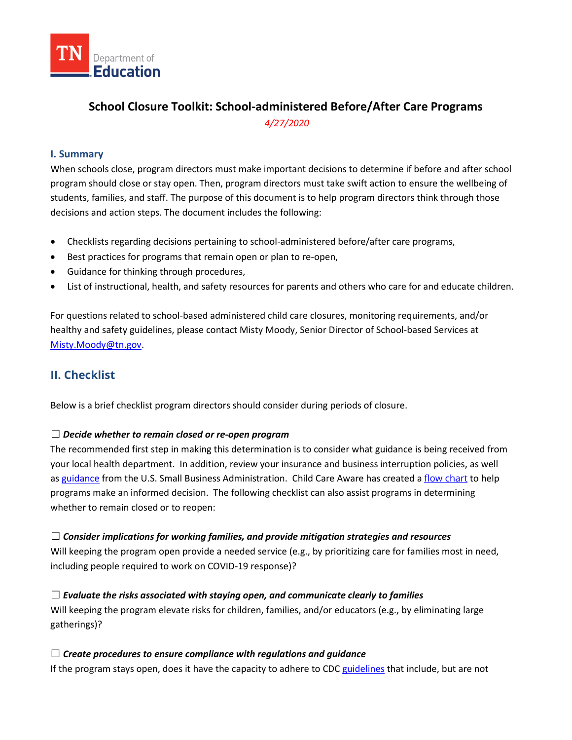

# **School Closure Toolkit: School-administered Before/After Care Programs**  *4/27/2020*

## **I. Summary**

When schools close, program directors must make important decisions to determine if before and after school program should close or stay open. Then, program directors must take swift action to ensure the wellbeing of students, families, and staff. The purpose of this document is to help program directors think through those decisions and action steps. The document includes the following:

- Checklists regarding decisions pertaining to school-administered before/after care programs,
- Best practices for programs that remain open or plan to re-open,
- Guidance for thinking through procedures,
- List of instructional, health, and safety resources for parents and others who care for and educate children.

For questions related to school-based administered child care closures, monitoring requirements, and/or healthy and safety guidelines, please contact Misty Moody, Senior Director of School-based Services at [Misty.Moody@tn.gov.](mailto:Misty.Moody@tn.gov)

## **II. Checklist**

Below is a brief checklist program directors should consider during periods of closure.

#### ☐ *Decide whether to remain closed or re-open program*

The recommended first step in making this determination is to consider what guidance is being received from your local health department. In addition, review your insurance and business interruption policies, as well as [guidance](https://www.sba.gov/page/coronavirus-covid-19-small-business-guidance-loan-resources) from the U.S. Small Business Administration. Child Care Aware has created a [flow chart](https://info.childcareaware.org/hubfs/ChildCareClosure-Flowchart.pdf?hsCtaTracking=6b4e2bc8-4064-4f0a-929d-3e80e86cf8a9%7C93c28cb1-988c-4de3-b30a-0aee0a470cf0) to help programs make an informed decision. The following checklist can also assist programs in determining whether to remain closed or to reopen:

☐ *Consider implications for working families, and provide mitigation strategies and resources* Will keeping the program open provide a needed service (e.g., by prioritizing care for families most in need, including people required to work on COVID-19 response)?

☐ *Evaluate the risks associated with staying open, and communicate clearly to families* Will keeping the program elevate risks for children, families, and/or educators (e.g., by eliminating large gatherings)?

#### ☐ *Create procedures to ensure compliance with regulations and guidance*

If the program stays open, does it have the capacity to adhere to CD[C guidelines](https://www.cdc.gov/coronavirus/2019-ncov/community/schools-childcare/index.html) that include, but are not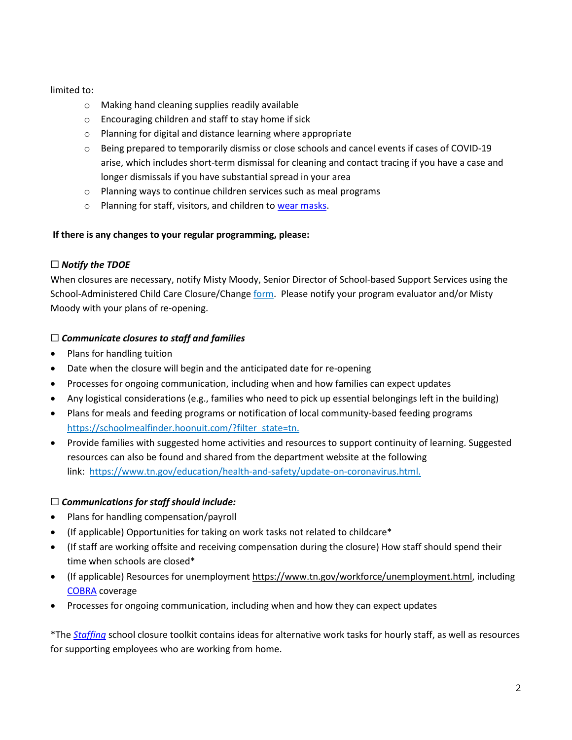#### limited to:

- o Making hand cleaning supplies readily available
- o Encouraging children and staff to stay home if sick
- o Planning for digital and distance learning where appropriate
- o Being prepared to temporarily dismiss or close schools and cancel events if cases of COVID-19 arise, which includes short-term dismissal for cleaning and contact tracing if you have a case and longer dismissals if you have substantial spread in your area
- o Planning ways to continue children services such as meal programs
- o Planning for staff, visitors, and children to [wear masks.](https://www.cdc.gov/coronavirus/2019-ncov/prevent-getting-sick/diy-cloth-face-coverings.html)

## **If there is any changes to your regular programming, please:**

## ☐ *Notify the TDOE*

When closures are necessary, notify Misty Moody, Senior Director of School-based Support Services using the School-Administered Child Care Closure/Change [form.](https://stateoftennessee.formstack.com/forms/school_changes_or_closures_covid19) Please notify your program evaluator and/or Misty Moody with your plans of re-opening.

## ☐ *Communicate closures to staff and families*

- Plans for handling tuition
- Date when the closure will begin and the anticipated date for re-opening
- Processes for ongoing communication, including when and how families can expect updates
- Any logistical considerations (e.g., families who need to pick up essential belongings left in the building)
- Plans for meals and feeding programs or notification of local community-based feeding programs [https://schoolmealfinder.hoonuit.com/?filter\\_state=tn.](https://schoolmealfinder.hoonuit.com/?filter_state=tn)
- Provide families with suggested home activities and resources to support continuity of learning. Suggested resources can also be found and shared from the department website at the following link: [https://www.tn.gov/education/health-and-safety/update-on-coronavirus.html.](https://www.tn.gov/education/health-and-safety/update-on-coronavirus.html)

## ☐ *Communications for staff should include:*

- Plans for handling compensation/payroll
- (If applicable) Opportunities for taking on work tasks not related to childcare\*
- (If staff are working offsite and receiving compensation during the closure) How staff should spend their time when schools are closed\*
- (If applicable) Resources for unemployment [https://www.tn.gov/workforce/unemployment.html,](https://www.tn.gov/workforce/unemployment.html) including [COBRA](https://www.healthcare.gov/unemployed/cobra-coverage/) coverage
- Processes for ongoing communication, including when and how they can expect updates

\*The *[Staffing](https://www.tn.gov/content/dam/tn/education/health-&-safety/School%20Closure%20Toolkit%20-%20Staffing%20(4).pdf)* school closure toolkit contains ideas for alternative work tasks for hourly staff, as well as resources for supporting employees who are working from home.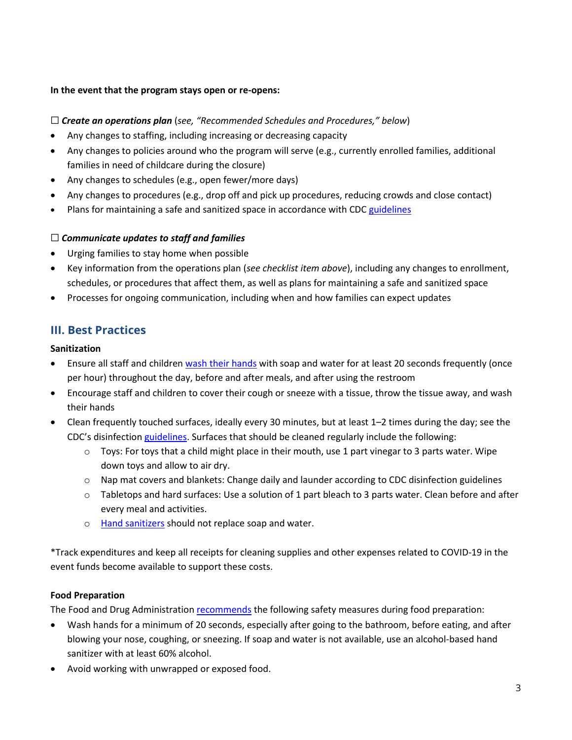#### **In the event that the program stays open or re-opens:**

#### ☐ *Create an operations plan* (*see, "Recommended Schedules and Procedures," below*)

- Any changes to staffing, including increasing or decreasing capacity
- Any changes to policies around who the program will serve (e.g., currently enrolled families, additional families in need of childcare during the closure)
- Any changes to schedules (e.g., open fewer/more days)
- Any changes to procedures (e.g., drop off and pick up procedures, reducing crowds and close contact)
- Plans for maintaining a safe and sanitized space in accordance with CDC [guidelines](https://www.cdc.gov/coronavirus/2019-ncov/community/schools-childcare/index.html)

#### ☐ *Communicate updates to staff and families*

- Urging families to stay home when possible
- Key information from the operations plan (*see checklist item above*), including any changes to enrollment, schedules, or procedures that affect them, as well as plans for maintaining a safe and sanitized space
- Processes for ongoing communication, including when and how families can expect updates

## **III. Best Practices**

#### **Sanitization**

- Ensure all staff and children [wash their hands](https://www.cdc.gov/handwashing/when-how-handwashing.html) with soap and water for at least 20 seconds frequently (once per hour) throughout the day, before and after meals, and after using the restroom
- Encourage staff and children to cover their cough or sneeze with a tissue, throw the tissue away, and wash their hands
- Clean frequently touched surfaces, ideally every 30 minutes, but at least 1–2 times during the day; see the CDC's disinfectio[n guidelines.](https://www.cdc.gov/coronavirus/2019-ncov/community/organizations/cleaning-disinfection.html) Surfaces that should be cleaned regularly include the following:
	- $\circ$  Toys: For toys that a child might place in their mouth, use 1 part vinegar to 3 parts water. Wipe down toys and allow to air dry.
	- $\circ$  Nap mat covers and blankets: Change daily and launder according to CDC disinfection guidelines
	- $\circ$  Tabletops and hard surfaces: Use a solution of 1 part bleach to 3 parts water. Clean before and after every meal and activities.
	- o [Hand sanitizers](https://www.cdc.gov/handwashing/hand-sanitizer-use.html) should not replace soap and water.

\*Track expenditures and keep all receipts for cleaning supplies and other expenses related to COVID-19 in the event funds become available to support these costs.

## **Food Preparation**

The Food and Drug Administratio[n recommends](https://www.fda.gov/food/food-safety-during-emergencies/food-safety-and-coronavirus-disease-2019-covid-19) the following safety measures during food preparation:

- Wash hands for a minimum of 20 seconds, especially after going to the bathroom, before eating, and after blowing your nose, coughing, or sneezing. If soap and water is not available, use an alcohol-based hand sanitizer with at least 60% alcohol.
- Avoid working with unwrapped or exposed food.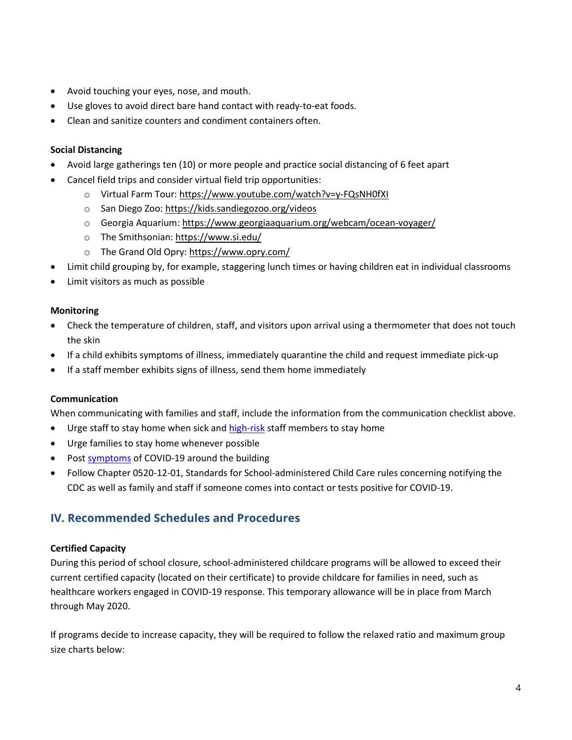- Avoid touching your eyes, nose, and mouth.
- Use gloves to avoid direct bare hand contact with ready-to-eat foods.
- Clean and sanitize counters and condiment containers often.

## **Social Distancing**

- Avoid large gatherings ten (10) or more people and practice social distancing of 6 feet apart
- Cancel field trips and consider virtual field trip opportunities:
	- o Virtual Farm Tour:<https://www.youtube.com/watch?v=y-FQsNH0fXI>
	- o San Diego Zoo:<https://kids.sandiegozoo.org/videos>
	- o Georgia Aquarium:<https://www.georgiaaquarium.org/webcam/ocean-voyager/>
	- o The Smithsonian:<https://www.si.edu/>
	- o The Grand Old Opry[: https://www.opry.com/](https://www.opry.com/)
- Limit child grouping by, for example, staggering lunch times or having children eat in individual classrooms
- Limit visitors as much as possible

## **Monitoring**

- Check the temperature of children, staff, and visitors upon arrival using a thermometer that does not touch the skin
- If a child exhibits symptoms of illness, immediately quarantine the child and request immediate pick-up
- If a staff member exhibits signs of illness, send them home immediately

## **Communication**

When communicating with families and staff, include the information from the communication checklist above.

- Urge staff to stay home when sick and [high-risk](https://www.cdc.gov/coronavirus/2019-ncov/specific-groups/high-risk-complications.html) staff members to stay home
- Urge families to stay home whenever possible
- Post [symptoms](https://www.cdc.gov/coronavirus/2019-ncov/downloads/COVID19-symptoms.pdf) of COVID-19 around the building
- Follow Chapter 0520-12-01, Standards for School-administered Child Care rules concerning notifying the CDC as well as family and staff if someone comes into contact or tests positive for COVID-19.

## **IV. Recommended Schedules and Procedures**

## **Certified Capacity**

During this period of school closure, school-administered childcare programs will be allowed to exceed their current certified capacity (located on their certificate) to provide childcare for families in need, such as healthcare workers engaged in COVID-19 response. This temporary allowance will be in place from March through May 2020.

If programs decide to increase capacity, they will be required to follow the relaxed ratio and maximum group size charts below: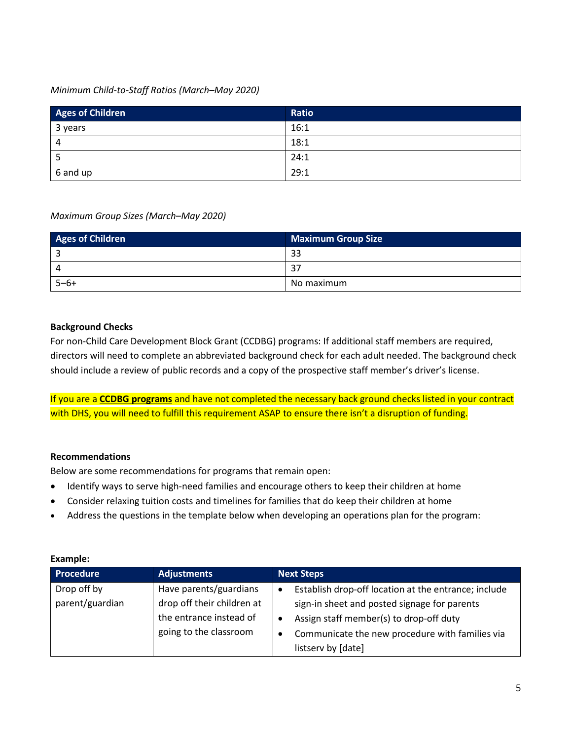## *Minimum Child-to-Staff Ratios (March–May 2020)*

| Ages of Children | Ratio |
|------------------|-------|
| 3 years          | 16:1  |
| 4                | 18:1  |
| כ                | 24:1  |
| 6 and up         | 29:1  |

#### *Maximum Group Sizes (March–May 2020)*

| <b>Ages of Children</b> | <b>Maximum Group Size</b> |
|-------------------------|---------------------------|
|                         | 33                        |
| $\Lambda$               | 37                        |
| $5 - 6 +$               | No maximum                |

#### **Background Checks**

For non-Child Care Development Block Grant (CCDBG) programs: If additional staff members are required, directors will need to complete an abbreviated background check for each adult needed. The background check should include a review of public records and a copy of the prospective staff member's driver's license.

If you are a **CCDBG programs** and have not completed the necessary back ground checks listed in your contract with DHS, you will need to fulfill this requirement ASAP to ensure there isn't a disruption of funding.

## **Recommendations**

Below are some recommendations for programs that remain open:

- Identify ways to serve high-need families and encourage others to keep their children at home
- Consider relaxing tuition costs and timelines for families that do keep their children at home
- Address the questions in the template below when developing an operations plan for the program:

| Lланныс.         |                            |                                                                   |
|------------------|----------------------------|-------------------------------------------------------------------|
| <b>Procedure</b> | <b>Adjustments</b>         | <b>Next Steps</b>                                                 |
| Drop off by      | Have parents/guardians     | Establish drop-off location at the entrance; include<br>$\bullet$ |
| parent/guardian  | drop off their children at | sign-in sheet and posted signage for parents                      |
|                  | the entrance instead of    | Assign staff member(s) to drop-off duty<br>٠                      |
|                  | going to the classroom     | Communicate the new procedure with families via<br>$\bullet$      |
|                  |                            | listserv by [date]                                                |

#### **Example:**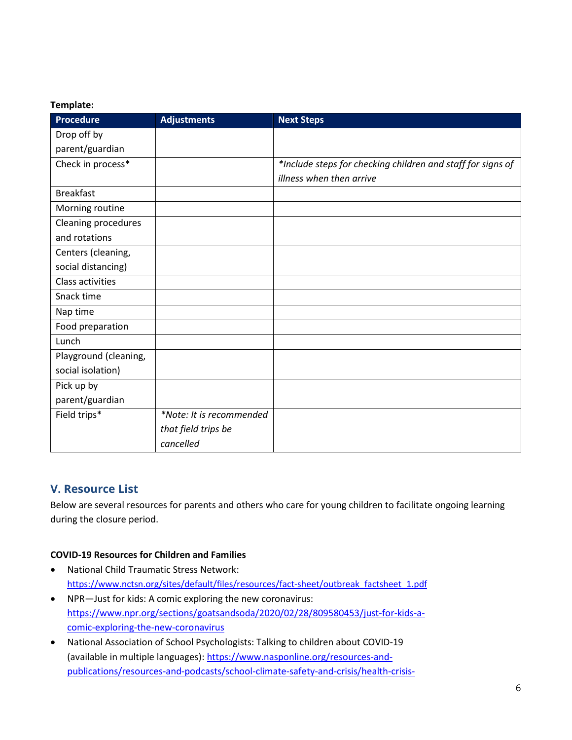#### **Template:**

| <b>Procedure</b>      | <b>Adjustments</b>       | <b>Next Steps</b>                                           |
|-----------------------|--------------------------|-------------------------------------------------------------|
| Drop off by           |                          |                                                             |
| parent/guardian       |                          |                                                             |
| Check in process*     |                          | *Include steps for checking children and staff for signs of |
|                       |                          | illness when then arrive                                    |
| <b>Breakfast</b>      |                          |                                                             |
| Morning routine       |                          |                                                             |
| Cleaning procedures   |                          |                                                             |
| and rotations         |                          |                                                             |
| Centers (cleaning,    |                          |                                                             |
| social distancing)    |                          |                                                             |
| Class activities      |                          |                                                             |
| Snack time            |                          |                                                             |
| Nap time              |                          |                                                             |
| Food preparation      |                          |                                                             |
| Lunch                 |                          |                                                             |
| Playground (cleaning, |                          |                                                             |
| social isolation)     |                          |                                                             |
| Pick up by            |                          |                                                             |
| parent/guardian       |                          |                                                             |
| Field trips*          | *Note: It is recommended |                                                             |
|                       | that field trips be      |                                                             |
|                       | cancelled                |                                                             |

## **V. Resource List**

Below are several resources for parents and others who care for young children to facilitate ongoing learning during the closure period.

## **COVID-19 Resources for Children and Families**

- National Child Traumatic Stress Network: [https://www.nctsn.org/sites/default/files/resources/fact-sheet/outbreak\\_factsheet\\_1.pdf](https://www.nctsn.org/sites/default/files/resources/fact-sheet/outbreak_factsheet_1.pdf)
- NPR—Just for kids: A comic exploring the new coronavirus: [https://www.npr.org/sections/goatsandsoda/2020/02/28/809580453/just-for-kids-a](https://www.npr.org/sections/goatsandsoda/2020/02/28/809580453/just-for-kids-a-comic-exploring-the-new-coronavirus)[comic-exploring-the-new-coronavirus](https://www.npr.org/sections/goatsandsoda/2020/02/28/809580453/just-for-kids-a-comic-exploring-the-new-coronavirus)
- National Association of School Psychologists: Talking to children about COVID-19 (available in multiple languages): [https://www.nasponline.org/resources-and](https://www.nasponline.org/resources-and-publications/resources-and-podcasts/school-climate-safety-and-crisis/health-crisis-resources/talking-to-children-about-covid-19-(coronavirus)-a-parent-resource)[publications/resources-and-podcasts/school-climate-safety-and-crisis/health-crisis-](https://www.nasponline.org/resources-and-publications/resources-and-podcasts/school-climate-safety-and-crisis/health-crisis-resources/talking-to-children-about-covid-19-(coronavirus)-a-parent-resource)